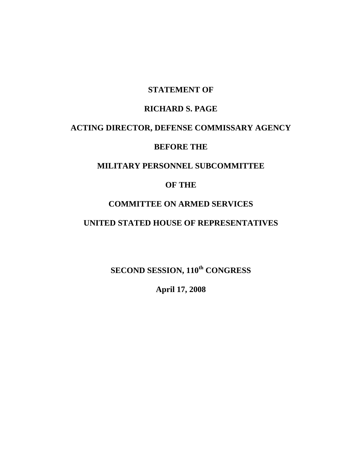## **STATEMENT OF**

### **RICHARD S. PAGE**

### **ACTING DIRECTOR, DEFENSE COMMISSARY AGENCY**

## **BEFORE THE**

# **MILITARY PERSONNEL SUBCOMMITTEE**

# **OF THE**

## **COMMITTEE ON ARMED SERVICES**

## **UNITED STATED HOUSE OF REPRESENTATIVES**

**SECOND SESSION, 110th CONGRESS** 

**April 17, 2008**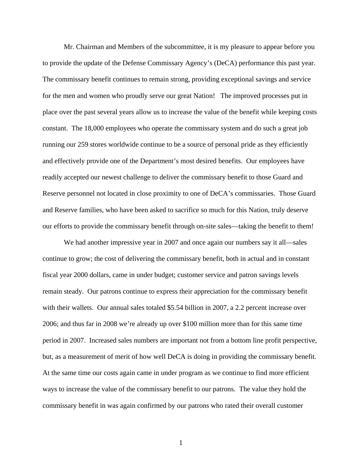Mr. Chairman and Members of the subcommittee, it is my pleasure to appear before you to provide the update of the Defense Commissary Agency's (DeCA) performance this past year. The commissary benefit continues to remain strong, providing exceptional savings and service for the men and women who proudly serve our great Nation! The improved processes put in place over the past several years allow us to increase the value of the benefit while keeping costs constant. The 18,000 employees who operate the commissary system and do such a great job running our 259 stores worldwide continue to be a source of personal pride as they efficiently and effectively provide one of the Department's most desired benefits. Our employees have readily accepted our newest challenge to deliver the commissary benefit to those Guard and Reserve personnel not located in close proximity to one of DeCA's commissaries. Those Guard and Reserve families, who have been asked to sacrifice so much for this Nation, truly deserve our efforts to provide the commissary benefit through on-site sales—taking the benefit to them!

We had another impressive year in 2007 and once again our numbers say it all—sales continue to grow; the cost of delivering the commissary benefit, both in actual and in constant fiscal year 2000 dollars, came in under budget; customer service and patron savings levels remain steady. Our patrons continue to express their appreciation for the commissary benefit with their wallets. Our annual sales totaled \$5.54 billion in 2007, a 2.2 percent increase over 2006; and thus far in 2008 we're already up over \$100 million more than for this same time period in 2007. Increased sales numbers are important not from a bottom line profit perspective, but, as a measurement of merit of how well DeCA is doing in providing the commissary benefit. At the same time our costs again came in under program as we continue to find more efficient ways to increase the value of the commissary benefit to our patrons. The value they hold the commissary benefit in was again confirmed by our patrons who rated their overall customer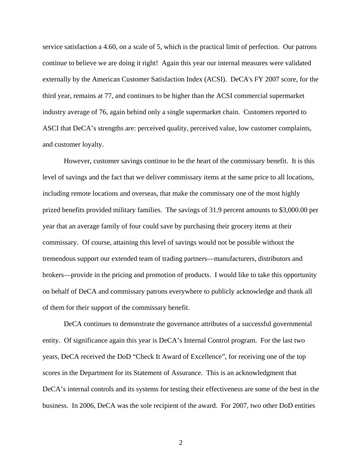service satisfaction a 4.60, on a scale of 5, which is the practical limit of perfection. Our patrons continue to believe we are doing it right! Again this year our internal measures were validated externally by the American Customer Satisfaction Index (ACSI). DeCA's FY 2007 score, for the third year, remains at 77, and continues to be higher than the ACSI commercial supermarket industry average of 76, again behind only a single supermarket chain. Customers reported to ASCI that DeCA's strengths are: perceived quality, perceived value, low customer complaints, and customer loyalty.

However, customer savings continue to be the heart of the commissary benefit. It is this level of savings and the fact that we deliver commissary items at the same price to all locations, including remote locations and overseas, that make the commissary one of the most highly prized benefits provided military families. The savings of 31.9 percent amounts to \$3,000.00 per year that an average family of four could save by purchasing their grocery items at their commissary. Of course, attaining this level of savings would not be possible without the tremendous support our extended team of trading partners—manufacturers, distributors and brokers—provide in the pricing and promotion of products. I would like to take this opportunity on behalf of DeCA and commissary patrons everywhere to publicly acknowledge and thank all of them for their support of the commissary benefit.

DeCA continues to demonstrate the governance attributes of a successful governmental entity. Of significance again this year is DeCA's Internal Control program. For the last two years, DeCA received the DoD "Check It Award of Excellence", for receiving one of the top scores in the Department for its Statement of Assurance. This is an acknowledgment that DeCA's internal controls and its systems for testing their effectiveness are some of the best in the business. In 2006, DeCA was the sole recipient of the award. For 2007, two other DoD entities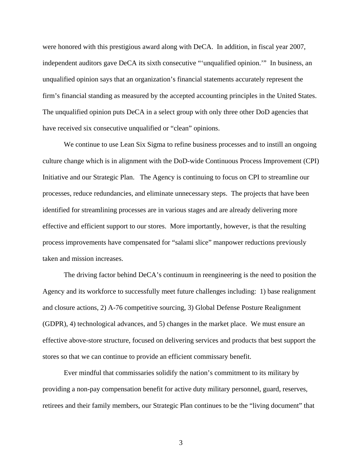were honored with this prestigious award along with DeCA. In addition, in fiscal year 2007, independent auditors gave DeCA its sixth consecutive "'unqualified opinion.'" In business, an unqualified opinion says that an organization's financial statements accurately represent the firm's financial standing as measured by the accepted accounting principles in the United States. The unqualified opinion puts DeCA in a select group with only three other DoD agencies that have received six consecutive unqualified or "clean" opinions.

We continue to use Lean Six Sigma to refine business processes and to instill an ongoing culture change which is in alignment with the DoD-wide Continuous Process Improvement (CPI) Initiative and our Strategic Plan. The Agency is continuing to focus on CPI to streamline our processes, reduce redundancies, and eliminate unnecessary steps. The projects that have been identified for streamlining processes are in various stages and are already delivering more effective and efficient support to our stores. More importantly, however, is that the resulting process improvements have compensated for "salami slice" manpower reductions previously taken and mission increases.

The driving factor behind DeCA's continuum in reengineering is the need to position the Agency and its workforce to successfully meet future challenges including: 1) base realignment and closure actions, 2) A-76 competitive sourcing, 3) Global Defense Posture Realignment (GDPR), 4) technological advances, and 5) changes in the market place. We must ensure an effective above-store structure, focused on delivering services and products that best support the stores so that we can continue to provide an efficient commissary benefit.

Ever mindful that commissaries solidify the nation's commitment to its military by providing a non-pay compensation benefit for active duty military personnel, guard, reserves, retirees and their family members, our Strategic Plan continues to be the "living document" that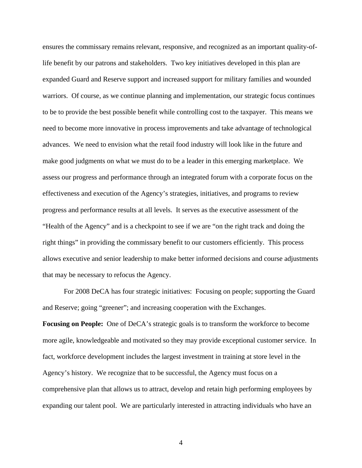ensures the commissary remains relevant, responsive, and recognized as an important quality-oflife benefit by our patrons and stakeholders. Two key initiatives developed in this plan are expanded Guard and Reserve support and increased support for military families and wounded warriors. Of course, as we continue planning and implementation, our strategic focus continues to be to provide the best possible benefit while controlling cost to the taxpayer. This means we need to become more innovative in process improvements and take advantage of technological advances. We need to envision what the retail food industry will look like in the future and make good judgments on what we must do to be a leader in this emerging marketplace. We assess our progress and performance through an integrated forum with a corporate focus on the effectiveness and execution of the Agency's strategies, initiatives, and programs to review progress and performance results at all levels. It serves as the executive assessment of the "Health of the Agency" and is a checkpoint to see if we are "on the right track and doing the right things" in providing the commissary benefit to our customers efficiently. This process allows executive and senior leadership to make better informed decisions and course adjustments that may be necessary to refocus the Agency.

For 2008 DeCA has four strategic initiatives: Focusing on people; supporting the Guard and Reserve; going "greener"; and increasing cooperation with the Exchanges.

**Focusing on People:** One of DeCA's strategic goals is to transform the workforce to become more agile, knowledgeable and motivated so they may provide exceptional customer service. In fact, workforce development includes the largest investment in training at store level in the Agency's history. We recognize that to be successful, the Agency must focus on a comprehensive plan that allows us to attract, develop and retain high performing employees by expanding our talent pool. We are particularly interested in attracting individuals who have an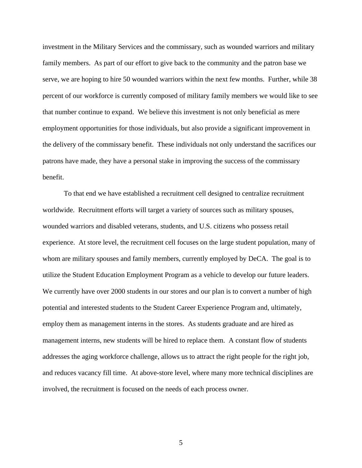investment in the Military Services and the commissary, such as wounded warriors and military family members. As part of our effort to give back to the community and the patron base we serve, we are hoping to hire 50 wounded warriors within the next few months. Further, while 38 percent of our workforce is currently composed of military family members we would like to see that number continue to expand. We believe this investment is not only beneficial as mere employment opportunities for those individuals, but also provide a significant improvement in the delivery of the commissary benefit. These individuals not only understand the sacrifices our patrons have made, they have a personal stake in improving the success of the commissary benefit.

To that end we have established a recruitment cell designed to centralize recruitment worldwide. Recruitment efforts will target a variety of sources such as military spouses, wounded warriors and disabled veterans, students, and U.S. citizens who possess retail experience. At store level, the recruitment cell focuses on the large student population, many of whom are military spouses and family members, currently employed by DeCA. The goal is to utilize the Student Education Employment Program as a vehicle to develop our future leaders. We currently have over 2000 students in our stores and our plan is to convert a number of high potential and interested students to the Student Career Experience Program and, ultimately, employ them as management interns in the stores. As students graduate and are hired as management interns, new students will be hired to replace them. A constant flow of students addresses the aging workforce challenge, allows us to attract the right people for the right job, and reduces vacancy fill time. At above-store level, where many more technical disciplines are involved, the recruitment is focused on the needs of each process owner.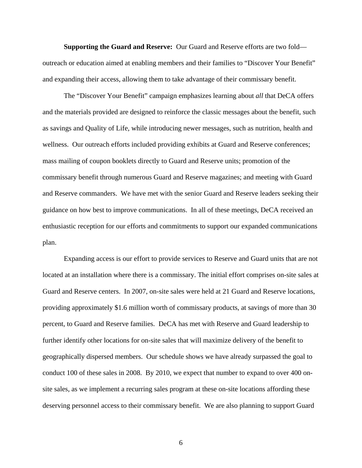**Supporting the Guard and Reserve:** Our Guard and Reserve efforts are two fold outreach or education aimed at enabling members and their families to "Discover Your Benefit" and expanding their access, allowing them to take advantage of their commissary benefit.

The "Discover Your Benefit" campaign emphasizes learning about *all* that DeCA offers and the materials provided are designed to reinforce the classic messages about the benefit, such as savings and Quality of Life, while introducing newer messages, such as nutrition, health and wellness. Our outreach efforts included providing exhibits at Guard and Reserve conferences; mass mailing of coupon booklets directly to Guard and Reserve units; promotion of the commissary benefit through numerous Guard and Reserve magazines; and meeting with Guard and Reserve commanders. We have met with the senior Guard and Reserve leaders seeking their guidance on how best to improve communications. In all of these meetings, DeCA received an enthusiastic reception for our efforts and commitments to support our expanded communications plan.

Expanding access is our effort to provide services to Reserve and Guard units that are not located at an installation where there is a commissary. The initial effort comprises on-site sales at Guard and Reserve centers. In 2007, on-site sales were held at 21 Guard and Reserve locations, providing approximately \$1.6 million worth of commissary products, at savings of more than 30 percent, to Guard and Reserve families. DeCA has met with Reserve and Guard leadership to further identify other locations for on-site sales that will maximize delivery of the benefit to geographically dispersed members. Our schedule shows we have already surpassed the goal to conduct 100 of these sales in 2008. By 2010, we expect that number to expand to over 400 onsite sales, as we implement a recurring sales program at these on-site locations affording these deserving personnel access to their commissary benefit. We are also planning to support Guard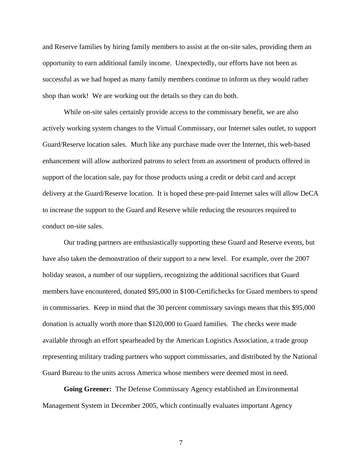and Reserve families by hiring family members to assist at the on-site sales, providing them an opportunity to earn additional family income. Unexpectedly, our efforts have not been as successful as we had hoped as many family members continue to inform us they would rather shop than work! We are working out the details so they can do both.

While on-site sales certainly provide access to the commissary benefit, we are also actively working system changes to the Virtual Commissary, our Internet sales outlet, to support Guard/Reserve location sales. Much like any purchase made over the Internet, this web-based enhancement will allow authorized patrons to select from an assortment of products offered in support of the location sale, pay for those products using a credit or debit card and accept delivery at the Guard/Reserve location. It is hoped these pre-paid Internet sales will allow DeCA to increase the support to the Guard and Reserve while reducing the resources required to conduct on-site sales.

Our trading partners are enthusiastically supporting these Guard and Reserve events, but have also taken the demonstration of their support to a new level. For example, over the 2007 holiday season, a number of our suppliers, recognizing the additional sacrifices that Guard members have encountered, donated \$95,000 in \$100-Certifichecks for Guard members to spend in commissaries. Keep in mind that the 30 percent commissary savings means that this \$95,000 donation is actually worth more than \$120,000 to Guard families. The checks were made available through an effort spearheaded by the American Logistics Association, a trade group representing military trading partners who support commissaries, and distributed by the National Guard Bureau to the units across America whose members were deemed most in need.

**Going Greener:** The Defense Commissary Agency established an Environmental Management System in December 2005, which continually evaluates important Agency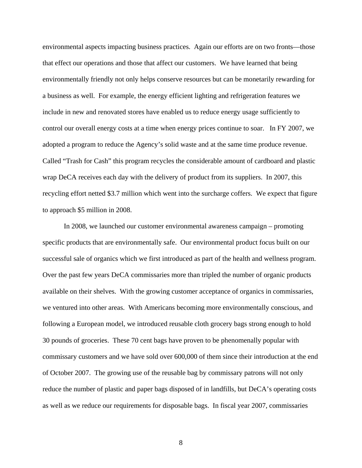environmental aspects impacting business practices. Again our efforts are on two fronts—those that effect our operations and those that affect our customers. We have learned that being environmentally friendly not only helps conserve resources but can be monetarily rewarding for a business as well. For example, the energy efficient lighting and refrigeration features we include in new and renovated stores have enabled us to reduce energy usage sufficiently to control our overall energy costs at a time when energy prices continue to soar. In FY 2007, we adopted a program to reduce the Agency's solid waste and at the same time produce revenue. Called "Trash for Cash" this program recycles the considerable amount of cardboard and plastic wrap DeCA receives each day with the delivery of product from its suppliers. In 2007, this recycling effort netted \$3.7 million which went into the surcharge coffers. We expect that figure to approach \$5 million in 2008.

In 2008, we launched our customer environmental awareness campaign – promoting specific products that are environmentally safe. Our environmental product focus built on our successful sale of organics which we first introduced as part of the health and wellness program. Over the past few years DeCA commissaries more than tripled the number of organic products available on their shelves. With the growing customer acceptance of organics in commissaries, we ventured into other areas. With Americans becoming more environmentally conscious, and following a European model, we introduced reusable cloth grocery bags strong enough to hold 30 pounds of groceries. These 70 cent bags have proven to be phenomenally popular with commissary customers and we have sold over 600,000 of them since their introduction at the end of October 2007. The growing use of the reusable bag by commissary patrons will not only reduce the number of plastic and paper bags disposed of in landfills, but DeCA's operating costs as well as we reduce our requirements for disposable bags. In fiscal year 2007, commissaries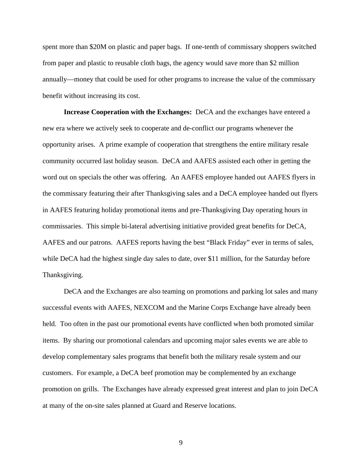spent more than \$20M on plastic and paper bags. If one-tenth of commissary shoppers switched from paper and plastic to reusable cloth bags, the agency would save more than \$2 million annually—money that could be used for other programs to increase the value of the commissary benefit without increasing its cost.

**Increase Cooperation with the Exchanges:** DeCA and the exchanges have entered a new era where we actively seek to cooperate and de-conflict our programs whenever the opportunity arises. A prime example of cooperation that strengthens the entire military resale community occurred last holiday season. DeCA and AAFES assisted each other in getting the word out on specials the other was offering. An AAFES employee handed out AAFES flyers in the commissary featuring their after Thanksgiving sales and a DeCA employee handed out flyers in AAFES featuring holiday promotional items and pre-Thanksgiving Day operating hours in commissaries. This simple bi-lateral advertising initiative provided great benefits for DeCA, AAFES and our patrons. AAFES reports having the best "Black Friday" ever in terms of sales, while DeCA had the highest single day sales to date, over \$11 million, for the Saturday before Thanksgiving.

DeCA and the Exchanges are also teaming on promotions and parking lot sales and many successful events with AAFES, NEXCOM and the Marine Corps Exchange have already been held. Too often in the past our promotional events have conflicted when both promoted similar items. By sharing our promotional calendars and upcoming major sales events we are able to develop complementary sales programs that benefit both the military resale system and our customers. For example, a DeCA beef promotion may be complemented by an exchange promotion on grills. The Exchanges have already expressed great interest and plan to join DeCA at many of the on-site sales planned at Guard and Reserve locations.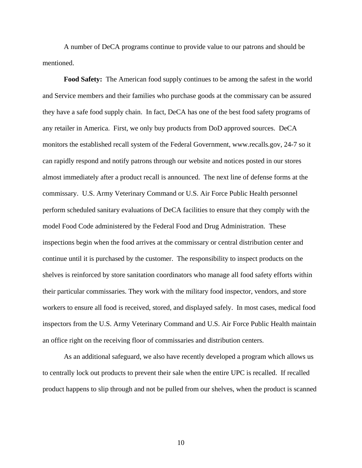A number of DeCA programs continue to provide value to our patrons and should be mentioned.

**Food Safety:** The American food supply continues to be among the safest in the world and Service members and their families who purchase goods at the commissary can be assured they have a safe food supply chain. In fact, DeCA has one of the best food safety programs of any retailer in America. First, we only buy products from DoD approved sources. DeCA monitors the established recall system of the Federal Government, www.recalls.gov, 24-7 so it can rapidly respond and notify patrons through our website and notices posted in our stores almost immediately after a product recall is announced. The next line of defense forms at the commissary. U.S. Army Veterinary Command or U.S. Air Force Public Health personnel perform scheduled sanitary evaluations of DeCA facilities to ensure that they comply with the model Food Code administered by the Federal Food and Drug Administration. These inspections begin when the food arrives at the commissary or central distribution center and continue until it is purchased by the customer. The responsibility to inspect products on the shelves is reinforced by store sanitation coordinators who manage all food safety efforts within their particular commissaries. They work with the military food inspector, vendors, and store workers to ensure all food is received, stored, and displayed safely. In most cases, medical food inspectors from the U.S. Army Veterinary Command and U.S. Air Force Public Health maintain an office right on the receiving floor of commissaries and distribution centers.

As an additional safeguard, we also have recently developed a program which allows us to centrally lock out products to prevent their sale when the entire UPC is recalled. If recalled product happens to slip through and not be pulled from our shelves, when the product is scanned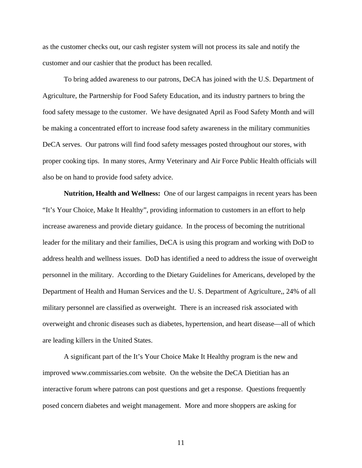as the customer checks out, our cash register system will not process its sale and notify the customer and our cashier that the product has been recalled.

To bring added awareness to our patrons, DeCA has joined with the U.S. Department of Agriculture, the Partnership for Food Safety Education, and its industry partners to bring the food safety message to the customer. We have designated April as Food Safety Month and will be making a concentrated effort to increase food safety awareness in the military communities DeCA serves. Our patrons will find food safety messages posted throughout our stores, with proper cooking tips. In many stores, Army Veterinary and Air Force Public Health officials will also be on hand to provide food safety advice.

**Nutrition, Health and Wellness:** One of our largest campaigns in recent years has been "It's Your Choice, Make It Healthy", providing information to customers in an effort to help increase awareness and provide dietary guidance. In the process of becoming the nutritional leader for the military and their families, DeCA is using this program and working with DoD to address health and wellness issues. DoD has identified a need to address the issue of overweight personnel in the military. According to the Dietary Guidelines for Americans, developed by the Department of Health and Human Services and the U. S. Department of Agriculture,, 24% of all military personnel are classified as overweight. There is an increased risk associated with overweight and chronic diseases such as diabetes, hypertension, and heart disease—all of which are leading killers in the United States.

A significant part of the It's Your Choice Make It Healthy program is the new and improved www.commissaries.com website. On the website the DeCA Dietitian has an interactive forum where patrons can post questions and get a response. Questions frequently posed concern diabetes and weight management. More and more shoppers are asking for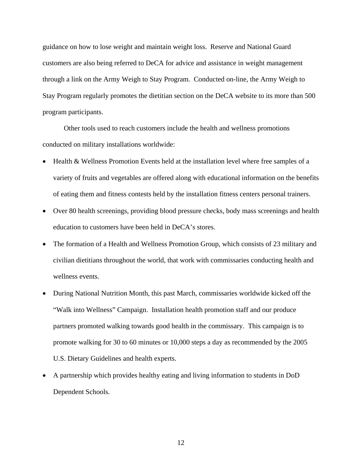guidance on how to lose weight and maintain weight loss. Reserve and National Guard customers are also being referred to DeCA for advice and assistance in weight management through a link on the Army Weigh to Stay Program. Conducted on-line, the Army Weigh to Stay Program regularly promotes the dietitian section on the DeCA website to its more than 500 program participants.

Other tools used to reach customers include the health and wellness promotions conducted on military installations worldwide:

- Health & Wellness Promotion Events held at the installation level where free samples of a variety of fruits and vegetables are offered along with educational information on the benefits of eating them and fitness contests held by the installation fitness centers personal trainers.
- Over 80 health screenings, providing blood pressure checks, body mass screenings and health education to customers have been held in DeCA's stores.
- The formation of a Health and Wellness Promotion Group, which consists of 23 military and civilian dietitians throughout the world, that work with commissaries conducting health and wellness events.
- During National Nutrition Month, this past March, commissaries worldwide kicked off the "Walk into Wellness" Campaign. Installation health promotion staff and our produce partners promoted walking towards good health in the commissary. This campaign is to promote walking for 30 to 60 minutes or 10,000 steps a day as recommended by the 2005 U.S. Dietary Guidelines and health experts.
- A partnership which provides healthy eating and living information to students in DoD Dependent Schools.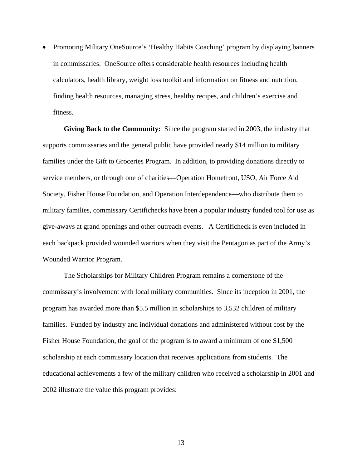• Promoting Military OneSource's 'Healthy Habits Coaching' program by displaying banners in commissaries. OneSource offers considerable health resources including health calculators, health library, weight loss toolkit and information on fitness and nutrition, finding health resources, managing stress, healthy recipes, and children's exercise and fitness.

**Giving Back to the Community:** Since the program started in 2003, the industry that supports commissaries and the general public have provided nearly \$14 million to military families under the Gift to Groceries Program. In addition, to providing donations directly to service members, or through one of charities—Operation Homefront, USO, Air Force Aid Society, Fisher House Foundation, and Operation Interdependence—who distribute them to military families, commissary Certifichecks have been a popular industry funded tool for use as give-aways at grand openings and other outreach events. A Certificheck is even included in each backpack provided wounded warriors when they visit the Pentagon as part of the Army's Wounded Warrior Program.

The Scholarships for Military Children Program remains a cornerstone of the commissary's involvement with local military communities. Since its inception in 2001, the program has awarded more than \$5.5 million in scholarships to 3,532 children of military families. Funded by industry and individual donations and administered without cost by the Fisher House Foundation, the goal of the program is to award a minimum of one \$1,500 scholarship at each commissary location that receives applications from students. The educational achievements a few of the military children who received a scholarship in 2001 and 2002 illustrate the value this program provides: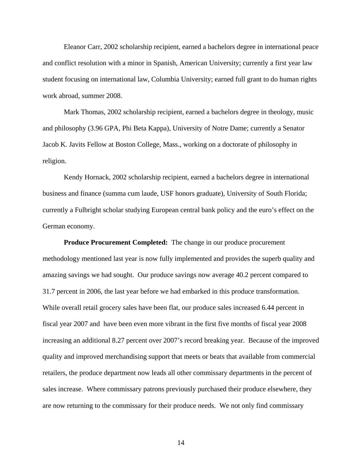Eleanor Carr, 2002 scholarship recipient, earned a bachelors degree in international peace and conflict resolution with a minor in Spanish, American University; currently a first year law student focusing on international law, Columbia University; earned full grant to do human rights work abroad, summer 2008.

Mark Thomas, 2002 scholarship recipient, earned a bachelors degree in theology, music and philosophy (3.96 GPA, Phi Beta Kappa), University of Notre Dame; currently a Senator Jacob K. Javits Fellow at Boston College, Mass., working on a doctorate of philosophy in religion.

Kendy Hornack, 2002 scholarship recipient, earned a bachelors degree in international business and finance (summa cum laude, USF honors graduate), University of South Florida; currently a Fulbright scholar studying European central bank policy and the euro's effect on the German economy.

**Produce Procurement Completed:** The change in our produce procurement methodology mentioned last year is now fully implemented and provides the superb quality and amazing savings we had sought. Our produce savings now average 40.2 percent compared to 31.7 percent in 2006, the last year before we had embarked in this produce transformation. While overall retail grocery sales have been flat, our produce sales increased 6.44 percent in fiscal year 2007 and have been even more vibrant in the first five months of fiscal year 2008 increasing an additional 8.27 percent over 2007's record breaking year. Because of the improved quality and improved merchandising support that meets or beats that available from commercial retailers, the produce department now leads all other commissary departments in the percent of sales increase. Where commissary patrons previously purchased their produce elsewhere, they are now returning to the commissary for their produce needs. We not only find commissary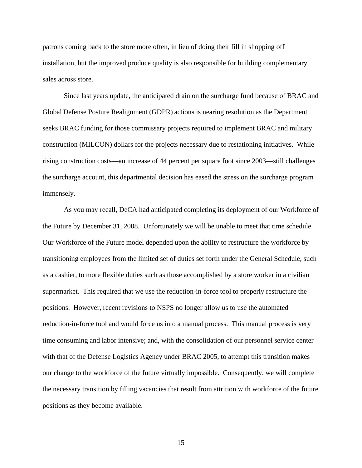patrons coming back to the store more often, in lieu of doing their fill in shopping off installation, but the improved produce quality is also responsible for building complementary sales across store.

Since last years update, the anticipated drain on the surcharge fund because of BRAC and Global Defense Posture Realignment (GDPR) actions is nearing resolution as the Department seeks BRAC funding for those commissary projects required to implement BRAC and military construction (MILCON) dollars for the projects necessary due to restationing initiatives. While rising construction costs—an increase of 44 percent per square foot since 2003—still challenges the surcharge account, this departmental decision has eased the stress on the surcharge program immensely.

As you may recall, DeCA had anticipated completing its deployment of our Workforce of the Future by December 31, 2008. Unfortunately we will be unable to meet that time schedule. Our Workforce of the Future model depended upon the ability to restructure the workforce by transitioning employees from the limited set of duties set forth under the General Schedule, such as a cashier, to more flexible duties such as those accomplished by a store worker in a civilian supermarket. This required that we use the reduction-in-force tool to properly restructure the positions. However, recent revisions to NSPS no longer allow us to use the automated reduction-in-force tool and would force us into a manual process. This manual process is very time consuming and labor intensive; and, with the consolidation of our personnel service center with that of the Defense Logistics Agency under BRAC 2005, to attempt this transition makes our change to the workforce of the future virtually impossible. Consequently, we will complete the necessary transition by filling vacancies that result from attrition with workforce of the future positions as they become available.